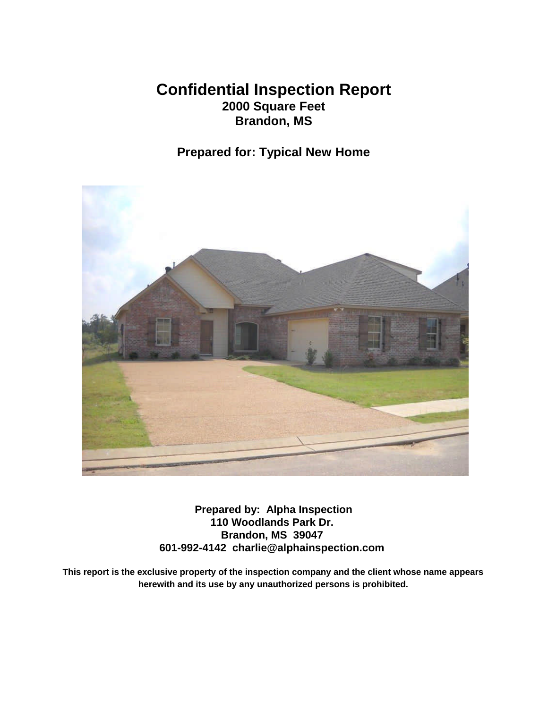### **Confidential Inspection Report 2000 Square Feet Brandon, MS**

### **Prepared for: Typical New Home**



**Prepared by: Alpha Inspection 110 Woodlands Park Dr. Brandon, MS 39047 601-992-4142 charlie@alphainspection.com**

**This report is the exclusive property of the inspection company and the client whose name appears herewith and its use by any unauthorized persons is prohibited.**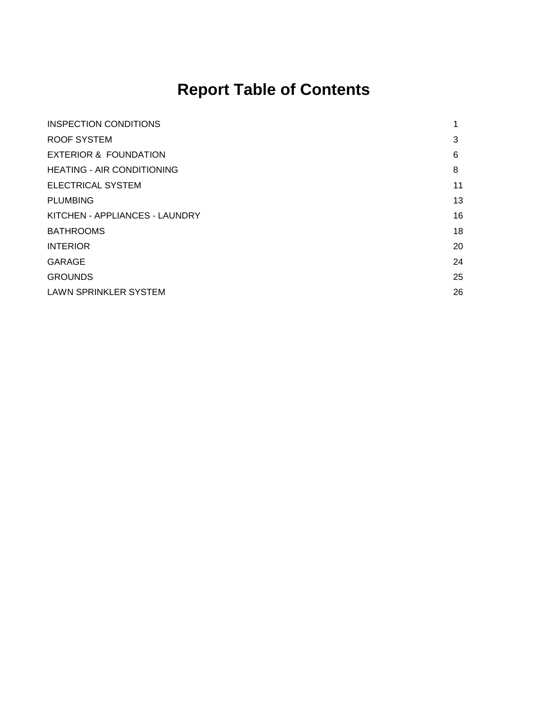## **Report Table of Contents**

| <b>INSPECTION CONDITIONS</b>      | 1  |
|-----------------------------------|----|
| ROOF SYSTEM                       | 3  |
| <b>EXTERIOR &amp; FOUNDATION</b>  | 6  |
| <b>HEATING - AIR CONDITIONING</b> | 8  |
| <b>ELECTRICAL SYSTEM</b>          | 11 |
| <b>PLUMBING</b>                   | 13 |
| KITCHEN - APPLIANCES - LAUNDRY    | 16 |
| <b>BATHROOMS</b>                  | 18 |
| <b>INTERIOR</b>                   | 20 |
| <b>GARAGE</b>                     | 24 |
| <b>GROUNDS</b>                    | 25 |
| <b>LAWN SPRINKLER SYSTEM</b>      | 26 |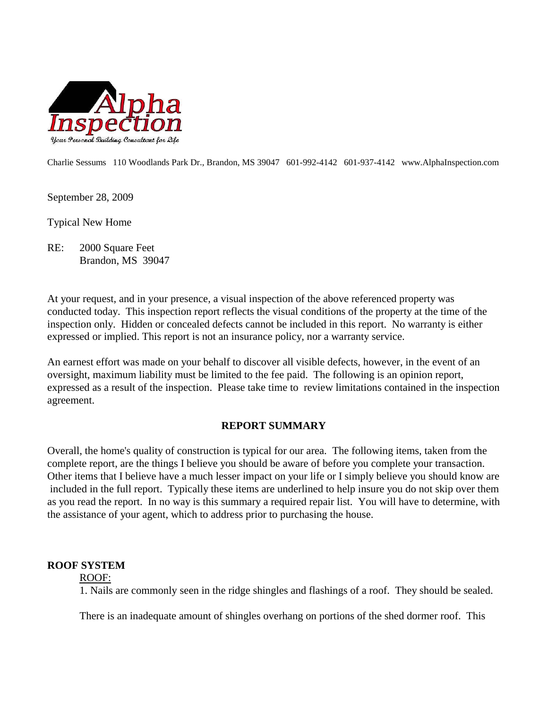

Charlie Sessums 110 Woodlands Park Dr., Brandon, MS 39047 601-992-4142 601-937-4142 www.AlphaInspection.com

September 28, 2009

Typical New Home

RE: 2000 Square Feet Brandon, MS 39047

At your request, and in your presence, a visual inspection of the above referenced property was conducted today. This inspection report reflects the visual conditions of the property at the time of the inspection only. Hidden or concealed defects cannot be included in this report. No warranty is either expressed or implied. This report is not an insurance policy, nor a warranty service.

An earnest effort was made on your behalf to discover all visible defects, however, in the event of an oversight, maximum liability must be limited to the fee paid. The following is an opinion report, expressed as a result of the inspection. Please take time to review limitations contained in the inspection agreement.

### **REPORT SUMMARY**

Overall, the home's quality of construction is typical for our area. The following items, taken from the complete report, are the things I believe you should be aware of before you complete your transaction. Other items that I believe have a much lesser impact on your life or I simply believe you should know are included in the full report. Typically these items are underlined to help insure you do not skip over them as you read the report. In no way is this summary a required repair list. You will have to determine, with the assistance of your agent, which to address prior to purchasing the house.

### **ROOF SYSTEM**

### ROOF:

1. Nails are commonly seen in the ridge shingles and flashings of a roof. They should be sealed.

There is an inadequate amount of shingles overhang on portions of the shed dormer roof. This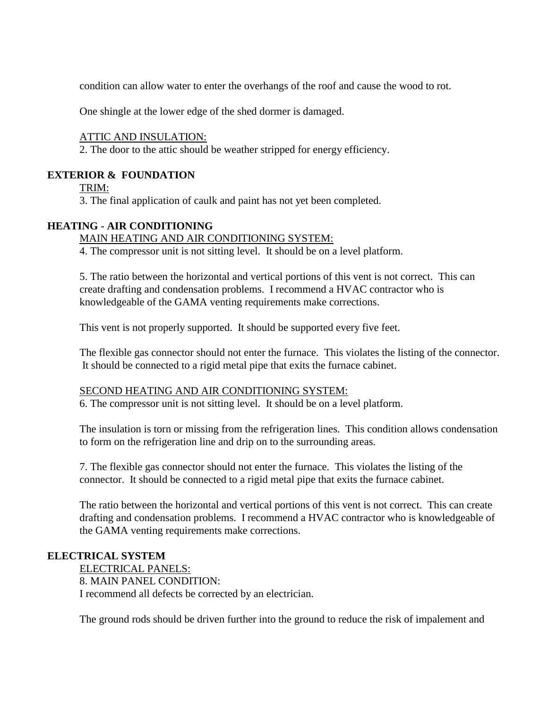condition can allow water to enter the overhangs of the roof and cause the wood to rot.

One shingle at the lower edge of the shed dormer is damaged.

### ATTIC AND INSULATION:

2. The door to the attic should be weather stripped for energy efficiency.

### **EXTERIOR & FOUNDATION**

TRIM:

3. The final application of caulk and paint has not yet been completed.

### **HEATING - AIR CONDITIONING**

### MAIN HEATING AND AIR CONDITIONING SYSTEM:

4. The compressor unit is not sitting level. It should be on a level platform.

5. The ratio between the horizontal and vertical portions of this vent is not correct. This can create drafting and condensation problems. I recommend a HVAC contractor who is knowledgeable of the GAMA venting requirements make corrections.

This vent is not properly supported. It should be supported every five feet.

The flexible gas connector should not enter the furnace. This violates the listing of the connector. It should be connected to a rigid metal pipe that exits the furnace cabinet.

### SECOND HEATING AND AIR CONDITIONING SYSTEM:

6. The compressor unit is not sitting level. It should be on a level platform.

The insulation is torn or missing from the refrigeration lines. This condition allows condensation to form on the refrigeration line and drip on to the surrounding areas.

7. The flexible gas connector should not enter the furnace. This violates the listing of the connector. It should be connected to a rigid metal pipe that exits the furnace cabinet.

The ratio between the horizontal and vertical portions of this vent is not correct. This can create drafting and condensation problems. I recommend a HVAC contractor who is knowledgeable of the GAMA venting requirements make corrections.

### **ELECTRICAL SYSTEM**

ELECTRICAL PANELS: 8. MAIN PANEL CONDITION: I recommend all defects be corrected by an electrician.

The ground rods should be driven further into the ground to reduce the risk of impalement and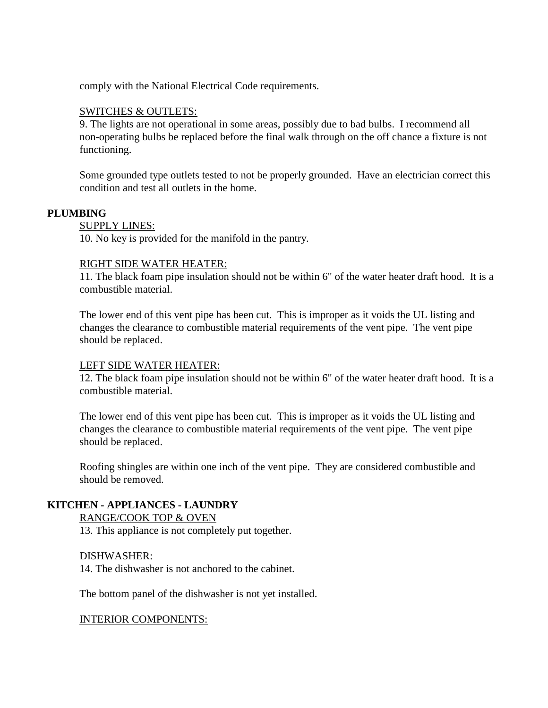comply with the National Electrical Code requirements.

### SWITCHES & OUTLETS:

9. The lights are not operational in some areas, possibly due to bad bulbs. I recommend all non-operating bulbs be replaced before the final walk through on the off chance a fixture is not functioning.

Some grounded type outlets tested to not be properly grounded. Have an electrician correct this condition and test all outlets in the home.

### **PLUMBING**

SUPPLY LINES: 10. No key is provided for the manifold in the pantry.

### RIGHT SIDE WATER HEATER:

11. The black foam pipe insulation should not be within 6" of the water heater draft hood. It is a combustible material.

The lower end of this vent pipe has been cut. This is improper as it voids the UL listing and changes the clearance to combustible material requirements of the vent pipe. The vent pipe should be replaced.

### LEFT SIDE WATER HEATER:

12. The black foam pipe insulation should not be within 6" of the water heater draft hood. It is a combustible material.

The lower end of this vent pipe has been cut. This is improper as it voids the UL listing and changes the clearance to combustible material requirements of the vent pipe. The vent pipe should be replaced.

Roofing shingles are within one inch of the vent pipe. They are considered combustible and should be removed.

### **KITCHEN - APPLIANCES - LAUNDRY**

RANGE/COOK TOP & OVEN 13. This appliance is not completely put together.

### DISHWASHER:

14. The dishwasher is not anchored to the cabinet.

The bottom panel of the dishwasher is not yet installed.

### INTERIOR COMPONENTS: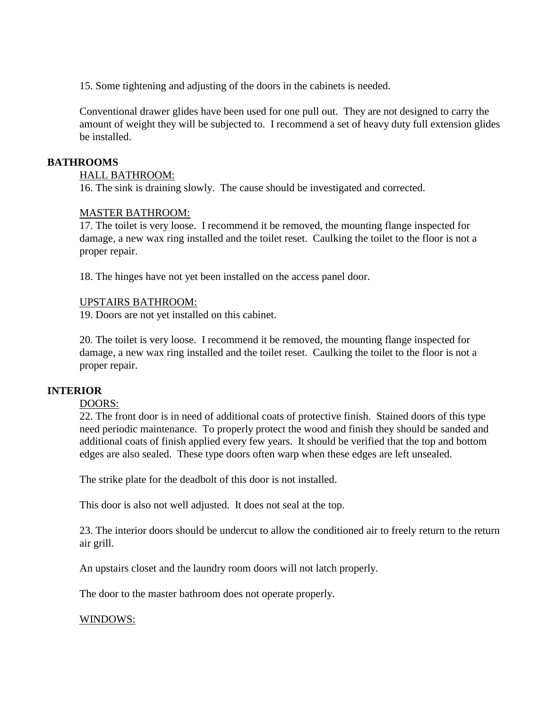15. Some tightening and adjusting of the doors in the cabinets is needed.

Conventional drawer glides have been used for one pull out. They are not designed to carry the amount of weight they will be subjected to. I recommend a set of heavy duty full extension glides be installed.

### **BATHROOMS**

### HALL BATHROOM:

16. The sink is draining slowly. The cause should be investigated and corrected.

### MASTER BATHROOM:

17. The toilet is very loose. I recommend it be removed, the mounting flange inspected for damage, a new wax ring installed and the toilet reset. Caulking the toilet to the floor is not a proper repair.

18. The hinges have not yet been installed on the access panel door.

### UPSTAIRS BATHROOM:

19. Doors are not yet installed on this cabinet.

20. The toilet is very loose. I recommend it be removed, the mounting flange inspected for damage, a new wax ring installed and the toilet reset. Caulking the toilet to the floor is not a proper repair.

### **INTERIOR**

### DOORS:

22. The front door is in need of additional coats of protective finish. Stained doors of this type need periodic maintenance. To properly protect the wood and finish they should be sanded and additional coats of finish applied every few years. It should be verified that the top and bottom edges are also sealed. These type doors often warp when these edges are left unsealed.

The strike plate for the deadbolt of this door is not installed.

This door is also not well adjusted. It does not seal at the top.

23. The interior doors should be undercut to allow the conditioned air to freely return to the return air grill.

An upstairs closet and the laundry room doors will not latch properly.

The door to the master bathroom does not operate properly.

### WINDOWS: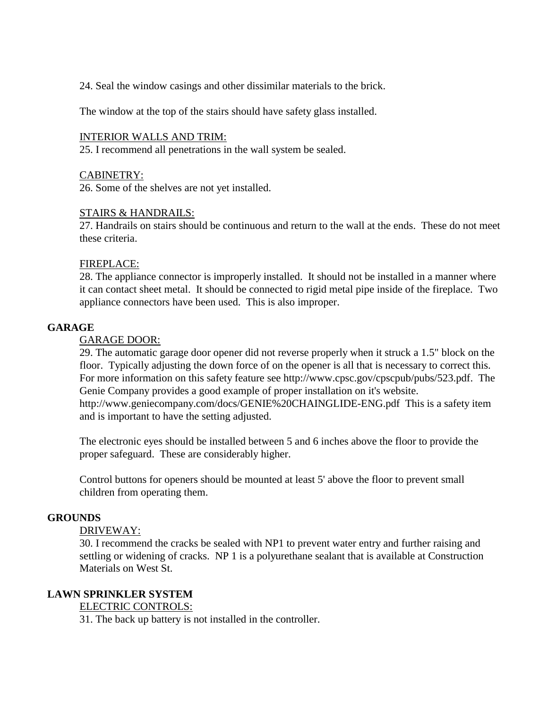24. Seal the window casings and other dissimilar materials to the brick.

The window at the top of the stairs should have safety glass installed.

### INTERIOR WALLS AND TRIM:

25. I recommend all penetrations in the wall system be sealed.

### CABINETRY:

26. Some of the shelves are not yet installed.

### STAIRS & HANDRAILS:

27. Handrails on stairs should be continuous and return to the wall at the ends. These do not meet these criteria.

### FIREPLACE:

28. The appliance connector is improperly installed. It should not be installed in a manner where it can contact sheet metal. It should be connected to rigid metal pipe inside of the fireplace. Two appliance connectors have been used. This is also improper.

### **GARAGE**

### GARAGE DOOR:

29. The automatic garage door opener did not reverse properly when it struck a 1.5" block on the floor. Typically adjusting the down force of on the opener is all that is necessary to correct this. For more information on this safety feature see http://www.cpsc.gov/cpscpub/pubs/523.pdf. The Genie Company provides a good example of proper installation on it's website. http://www.geniecompany.com/docs/GENIE%20CHAINGLIDE-ENG.pdf This is a safety item and is important to have the setting adjusted.

The electronic eyes should be installed between 5 and 6 inches above the floor to provide the proper safeguard. These are considerably higher.

Control buttons for openers should be mounted at least 5' above the floor to prevent small children from operating them.

### **GROUNDS**

### DRIVEWAY:

30. I recommend the cracks be sealed with NP1 to prevent water entry and further raising and settling or widening of cracks. NP 1 is a polyurethane sealant that is available at Construction Materials on West St.

### **LAWN SPRINKLER SYSTEM**

### ELECTRIC CONTROLS:

31. The back up battery is not installed in the controller.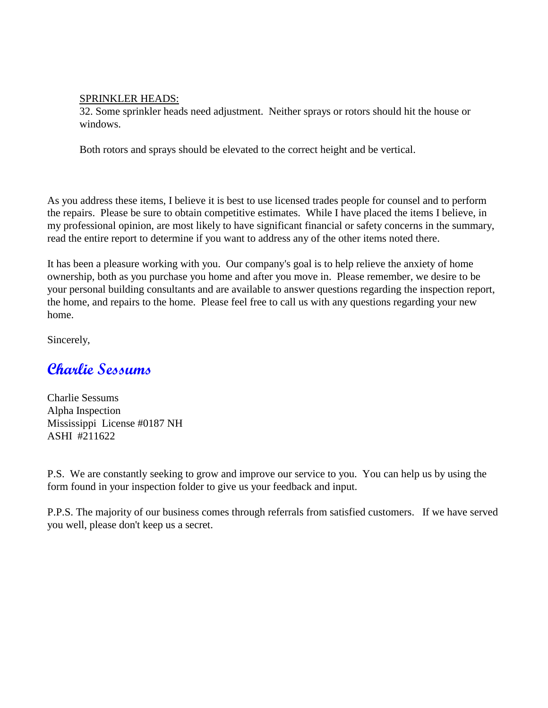### SPRINKLER HEADS:

32. Some sprinkler heads need adjustment. Neither sprays or rotors should hit the house or windows.

Both rotors and sprays should be elevated to the correct height and be vertical.

As you address these items, I believe it is best to use licensed trades people for counsel and to perform the repairs. Please be sure to obtain competitive estimates. While I have placed the items I believe, in my professional opinion, are most likely to have significant financial or safety concerns in the summary, read the entire report to determine if you want to address any of the other items noted there.

It has been a pleasure working with you. Our company's goal is to help relieve the anxiety of home ownership, both as you purchase you home and after you move in. Please remember, we desire to be your personal building consultants and are available to answer questions regarding the inspection report, the home, and repairs to the home. Please feel free to call us with any questions regarding your new home.

Sincerely,

### **Charlie Sessums**

Charlie Sessums Alpha Inspection Mississippi License #0187 NH ASHI #211622

P.S. We are constantly seeking to grow and improve our service to you. You can help us by using the form found in your inspection folder to give us your feedback and input.

P.P.S. The majority of our business comes through referrals from satisfied customers. If we have served you well, please don't keep us a secret.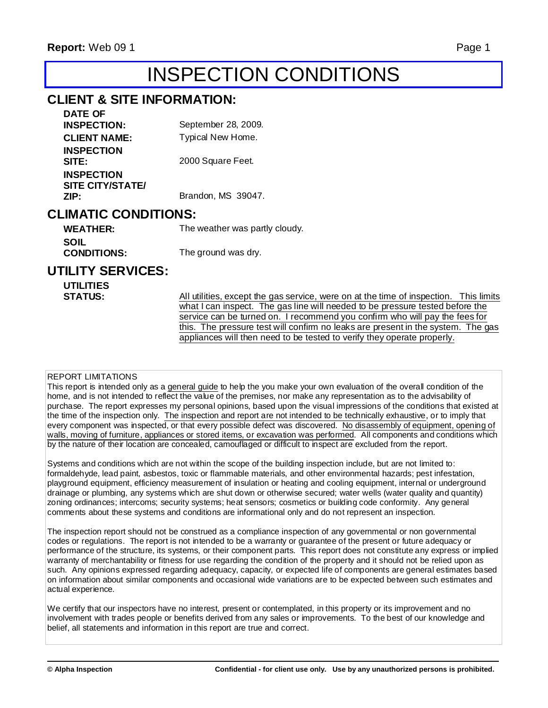## INSPECTION CONDITIONS

### **CLIENT & SITE INFORMATION:**

| DATE OF                                              |                     |
|------------------------------------------------------|---------------------|
| <b>INSPECTION:</b>                                   | September 28, 2009. |
| <b>CLIENT NAME:</b>                                  | Typical New Home.   |
| <b>INSPECTION</b><br>SITE:                           | 2000 Square Feet.   |
| <b>INSPECTION</b><br><b>SITE CITY/STATE/</b><br>ZIP: | Brandon, MS 39047.  |
|                                                      |                     |

### **CLIMATIC CONDITIONS:**

| <b>WEATHER:</b>    | The weather was partly cloudy. |
|--------------------|--------------------------------|
| SOIL               |                                |
| <b>CONDITIONS:</b> | The ground was dry.            |

### **UTILITY SERVICES:**

| <b>UTILITIES</b> |                                                                                       |
|------------------|---------------------------------------------------------------------------------------|
| <b>STATUS:</b>   | All utilities, except the gas service, were on at the time of inspection. This limits |
|                  | what I can inspect. The gas line will needed to be pressure tested before the         |
|                  | service can be turned on. I recommend you confirm who will pay the fees for           |
|                  | this. The pressure test will confirm no leaks are present in the system. The gas      |
|                  | appliances will then need to be tested to verify they operate properly.               |
|                  |                                                                                       |
|                  |                                                                                       |

### REPORT LIMITATIONS

This report is intended only as a general guide to help the you make your own evaluation of the overall condition of the home, and is not intended to reflect the value of the premises, nor make any representation as to the advisability of purchase. The report expresses my personal opinions, based upon the visual impressions of the conditions that existed at the time of the inspection only. The inspection and report are not intended to be technically exhaustive, or to imply that every component was inspected, or that every possible defect was discovered. No disassembly of equipment, opening of walls, moving of furniture, appliances or stored items, or excavation was performed. All components and conditions which by the nature of their location are concealed, camouflaged or difficult to inspect are excluded from the report.

Systems and conditions which are not within the scope of the building inspection include, but are not limited to: formaldehyde, lead paint, asbestos, toxic or flammable materials, and other environmental hazards; pest infestation, playground equipment, efficiency measurement of insulation or heating and cooling equipment, internal or underground drainage or plumbing, any systems which are shut down or otherwise secured; water wells (water quality and quantity) zoning ordinances; intercoms; security systems; heat sensors; cosmetics or building code conformity. Any general comments about these systems and conditions are informational only and do not represent an inspection.

The inspection report should not be construed as a compliance inspection of any governmental or non governmental codes or regulations. The report is not intended to be a warranty or guarantee of the present or future adequacy or performance of the structure, its systems, or their component parts. This report does not constitute any express or implied warranty of merchantability or fitness for use regarding the condition of the property and it should not be relied upon as such. Any opinions expressed regarding adequacy, capacity, or expected life of components are general estimates based on information about similar components and occasional wide variations are to be expected between such estimates and actual experience.

We certify that our inspectors have no interest, present or contemplated, in this property or its improvement and no involvement with trades people or benefits derived from any sales or improvements. To the best of our knowledge and belief, all statements and information in this report are true and correct.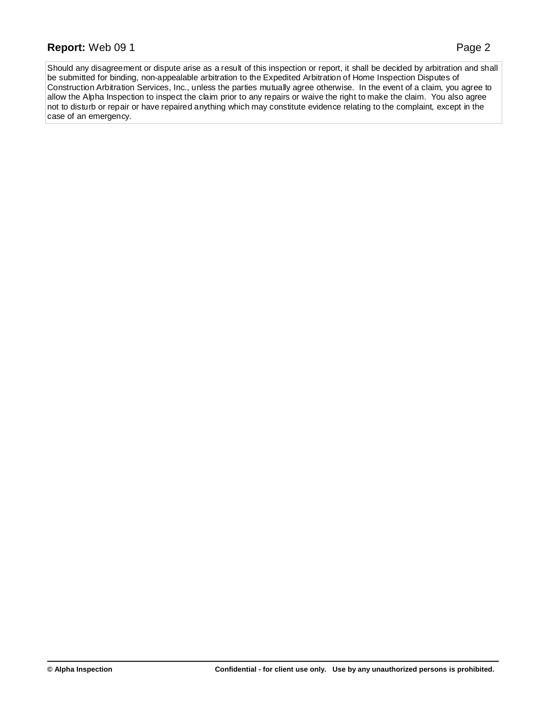### **Report:** Web 09 1 Page 2

Should any disagreement or dispute arise as a result of this inspection or report, it shall be decided by arbitration and shall be submitted for binding, non-appealable arbitration to the Expedited Arbitration of Home Inspection Disputes of Construction Arbitration Services, Inc., unless the parties mutually agree otherwise. In the event of a claim, you agree to allow the Alpha Inspection to inspect the claim prior to any repairs or waive the right to make the claim. You also agree not to disturb or repair or have repaired anything which may constitute evidence relating to the complaint, except in the case of an emergency.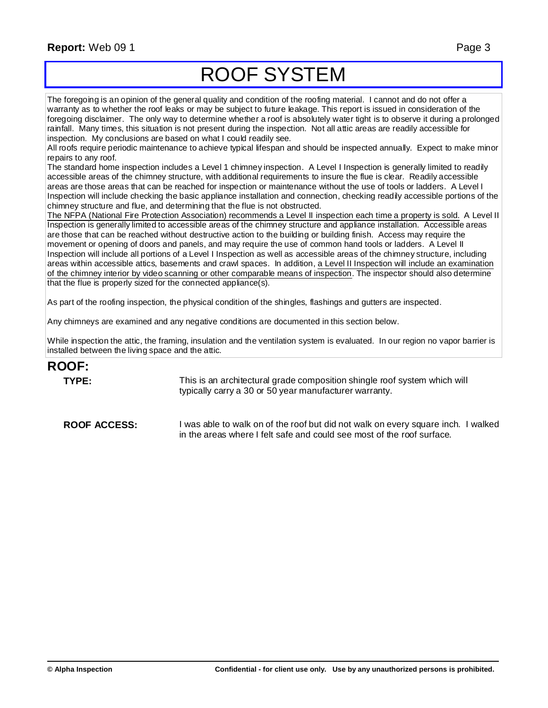### **Report:** Web 09 1 Page 3

## ROOF SYSTEM

The foregoing is an opinion of the general quality and condition of the roofing material. I cannot and do not offer a warranty as to whether the roof leaks or may be subject to future leakage. This report is issued in consideration of the foregoing disclaimer. The only way to determine whether a roof is absolutely water tight is to observe it during a prolonged rainfall. Many times, this situation is not present during the inspection. Not all attic areas are readily accessible for inspection. My conclusions are based on what I could readily see.

All roofs require periodic maintenance to achieve typical lifespan and should be inspected annually. Expect to make minor repairs to any roof.

The standard home inspection includes a Level 1 chimney inspection. A Level I Inspection is generally limited to readily accessible areas of the chimney structure, with additional requirements to insure the flue is clear. Readily accessible areas are those areas that can be reached for inspection or maintenance without the use of tools or ladders. A Level I Inspection will include checking the basic appliance installation and connection, checking readily accessible portions of the chimney structure and flue, and determining that the flue is not obstructed.

The NFPA (National Fire Protection Association) recommends a Level II inspection each time a property is sold. A Level II Inspection is generally limited to accessible areas of the chimney structure and appliance installation. Accessible areas are those that can be reached without destructive action to the building or building finish. Access may require the movement or opening of doors and panels, and may require the use of common hand tools or ladders. A Level II Inspection will include all portions of a Level I Inspection as well as accessible areas of the chimney structure, including areas within accessible attics, basements and crawl spaces. In addition, a Level II Inspection will include an examination of the chimney interior by video scanning or other comparable means of inspection. The inspector should also determine that the flue is properly sized for the connected appliance(s).

As part of the roofing inspection, the physical condition of the shingles, flashings and gutters are inspected.

Any chimneys are examined and any negative conditions are documented in this section below.

While inspection the attic, the framing, insulation and the ventilation system is evaluated. In our region no vapor barrier is installed between the living space and the attic.

### **ROOF:**

**TYPE:** This is an architectural grade composition shingle roof system which will typically carry a 30 or 50 year manufacturer warranty.

**ROOF ACCESS:** I was able to walk on of the roof but did not walk on every square inch. I walked in the areas where I felt safe and could see most of the roof surface.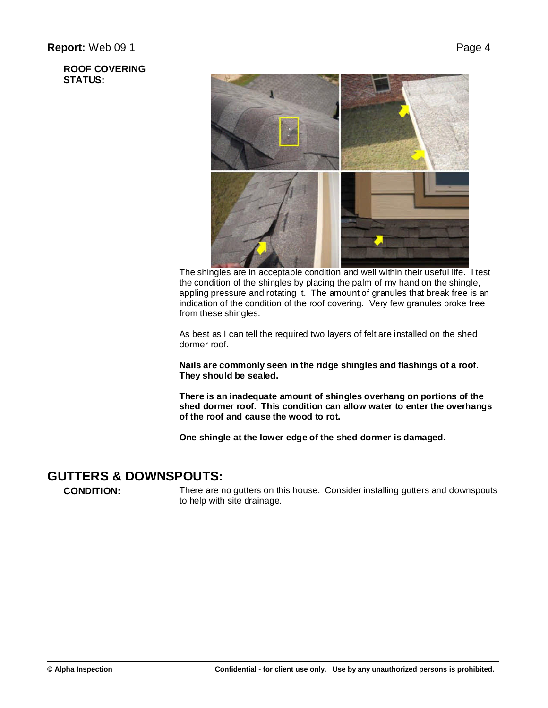

The shingles are in acceptable condition and well within their useful life. I test the condition of the shingles by placing the palm of my hand on the shingle, appling pressure and rotating it. The amount of granules that break free is an indication of the condition of the roof covering. Very few granules broke free from these shingles.

As best as I can tell the required two layers of felt are installed on the shed dormer roof.

**Nails are commonly seen in the ridge shingles and flashings of a roof. They should be sealed.**

**There is an inadequate amount of shingles overhang on portions of the shed dormer roof. This condition can allow water to enter the overhangs of the roof and cause the wood to rot.**

**One shingle at the lower edge of the shed dormer is damaged.**

### **GUTTERS & DOWNSPOUTS:**

**CONDITION:** There are no gutters on this house. Consider installing gutters and downspouts to help with site drainage.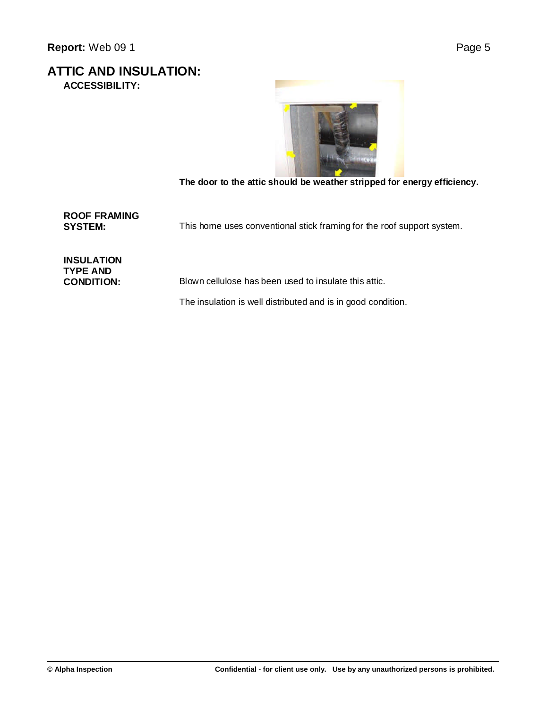**ATTIC AND INSULATION: ACCESSIBILITY:**



**The door to the attic should be weather stripped for energy efficiency.**

**ROOF FRAMING**

This home uses conventional stick framing for the roof support system.

**INSULATION TYPE AND**

Blown cellulose has been used to insulate this attic.

The insulation is well distributed and is in good condition.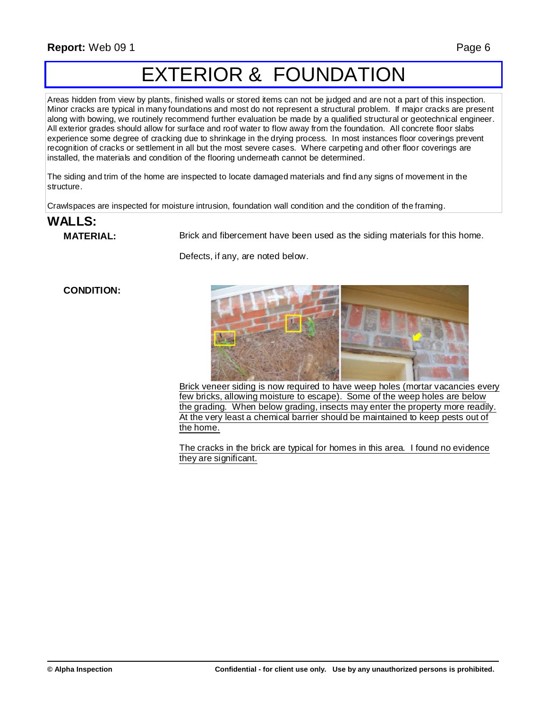## EXTERIOR & FOUNDATION

Areas hidden from view by plants, finished walls or stored items can not be judged and are not a part of this inspection. Minor cracks are typical in many foundations and most do not represent a structural problem. If major cracks are present along with bowing, we routinely recommend further evaluation be made by a qualified structural or geotechnical engineer. All exterior grades should allow for surface and roof water to flow away from the foundation. All concrete floor slabs experience some degree of cracking due to shrinkage in the drying process. In most instances floor coverings prevent recognition of cracks or settlement in all but the most severe cases. Where carpeting and other floor coverings are installed, the materials and condition of the flooring underneath cannot be determined.

The siding and trim of the home are inspected to locate damaged materials and find any signs of movement in the structure.

Crawlspaces are inspected for moisture intrusion, foundation wall condition and the condition of the framing.

## **WALLS:**

**MATERIAL:** Brick and fibercement have been used as the siding materials for this home.

Defects, if any, are noted below.

### **CONDITION:**



Brick veneer siding is now required to have weep holes (mortar vacancies every few bricks, allowing moisture to escape). Some of the weep holes are below the grading. When below grading, insects may enter the property more readily. At the very least a chemical barrier should be maintained to keep pests out of the home.

The cracks in the brick are typical for homes in this area. I found no evidence they are significant.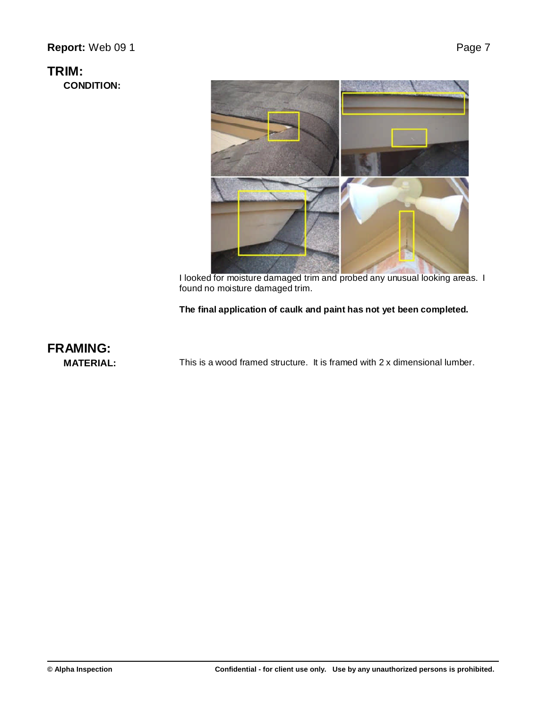### **Report:** Web 09 1 Page 7

### **TRIM:**

**CONDITION:**



I looked for moisture damaged trim and probed any unusual looking areas. I found no moisture damaged trim.

### **The final application of caulk and paint has not yet been completed.**

## **FRAMING:**

**MATERIAL:** This is a wood framed structure. It is framed with 2 x dimensional lumber.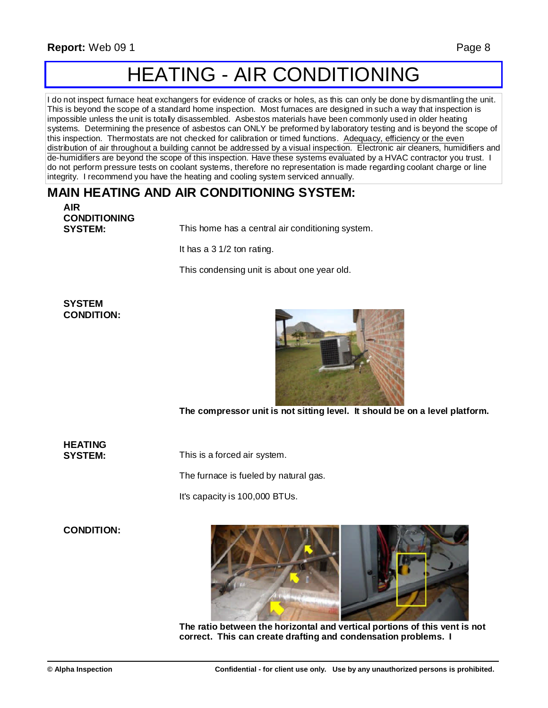## HEATING - AIR CONDITIONING

I do not inspect furnace heat exchangers for evidence of cracks or holes, as this can only be done by dismantling the unit. This is beyond the scope of a standard home inspection. Most furnaces are designed in such a way that inspection is impossible unless the unit is totally disassembled. Asbestos materials have been commonly used in older heating systems. Determining the presence of asbestos can ONLY be preformed by laboratory testing and is beyond the scope of this inspection. Thermostats are not checked for calibration or timed functions. Adequacy, efficiency or the even distribution of air throughout a building cannot be addressed by a visual inspection. Electronic air cleaners, humidifiers and de-humidifiers are beyond the scope of this inspection. Have these systems evaluated by a HVAC contractor you trust. I do not perform pressure tests on coolant systems, therefore no representation is made regarding coolant charge or line integrity. I recommend you have the heating and cooling system serviced annually.

### **MAIN HEATING AND AIR CONDITIONING SYSTEM:**

**AIR CONDITIONING**

**SYSTEM:** This home has a central air conditioning system.

It has a 3 1/2 ton rating.

This condensing unit is about one year old.

### **SYSTEM CONDITION:**



**The compressor unit is not sitting level. It should be on a level platform.**

**HEATING**

**SYSTEM:** This is a forced air system.

The furnace is fueled by natural gas.

It's capacity is 100,000 BTUs.

**CONDITION:**



**The ratio between the horizontal and vertical portions of this vent is not correct. This can create drafting and condensation problems. I**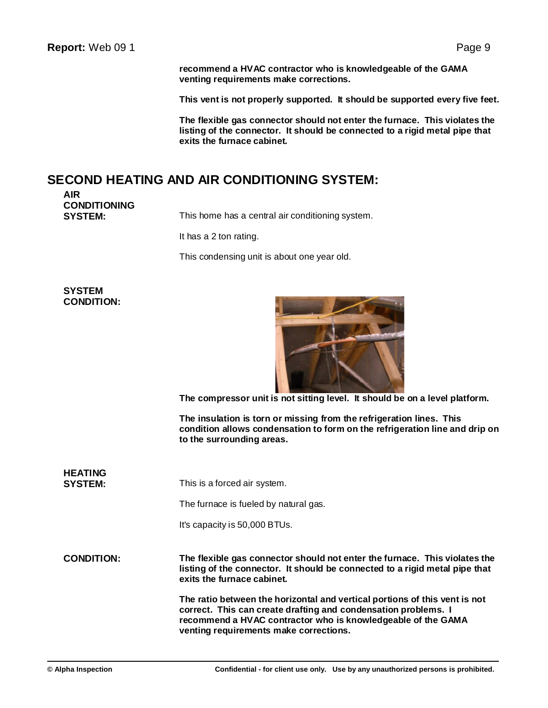**recommend a HVAC contractor who is knowledgeable of the GAMA venting requirements make corrections.**

**This vent is not properly supported. It should be supported every five feet.**

**The flexible gas connector should not enter the furnace. This violates the listing of the connector. It should be connected to a rigid metal pipe that exits the furnace cabinet.**

### **SECOND HEATING AND AIR CONDITIONING SYSTEM:**

**AIR CONDITIONING**

This home has a central air conditioning system.

It has a 2 ton rating.

This condensing unit is about one year old.

**SYSTEM CONDITION:**



**The compressor unit is not sitting level. It should be on a level platform.**

**The insulation is torn or missing from the refrigeration lines. This condition allows condensation to form on the refrigeration line and drip on to the surrounding areas.**

**HEATING SYSTEM:** This is a forced air system.

The furnace is fueled by natural gas.

It's capacity is 50,000 BTUs.

**CONDITION: The flexible gas connector should not enter the furnace. This violates the listing of the connector. It should be connected to a rigid metal pipe that exits the furnace cabinet.**

> **The ratio between the horizontal and vertical portions of this vent is not correct. This can create drafting and condensation problems. I recommend a HVAC contractor who is knowledgeable of the GAMA venting requirements make corrections.**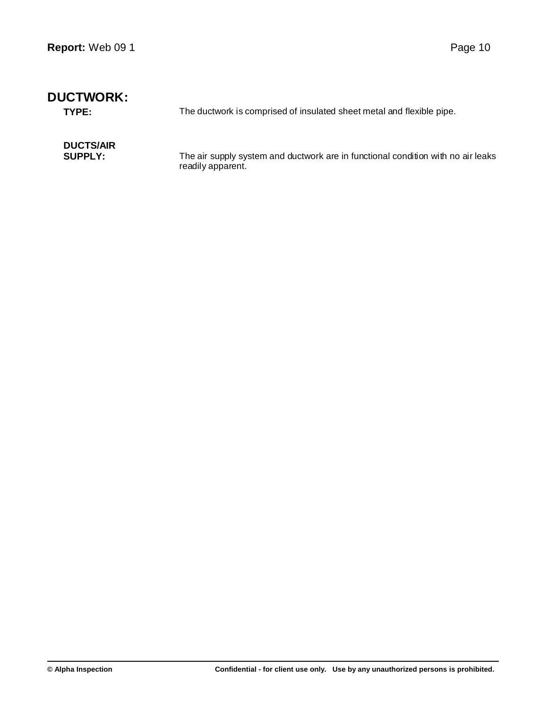| <b>DUCTWORK:</b><br>TYPE: | The ductwork is comprised of insulated sheet metal and flexible pipe.            |
|---------------------------|----------------------------------------------------------------------------------|
| <b>DUCTS/AIR</b>          | The air supply system and ductwork are in functional condition with no air leaks |
| <b>SUPPLY:</b>            | readily apparent.                                                                |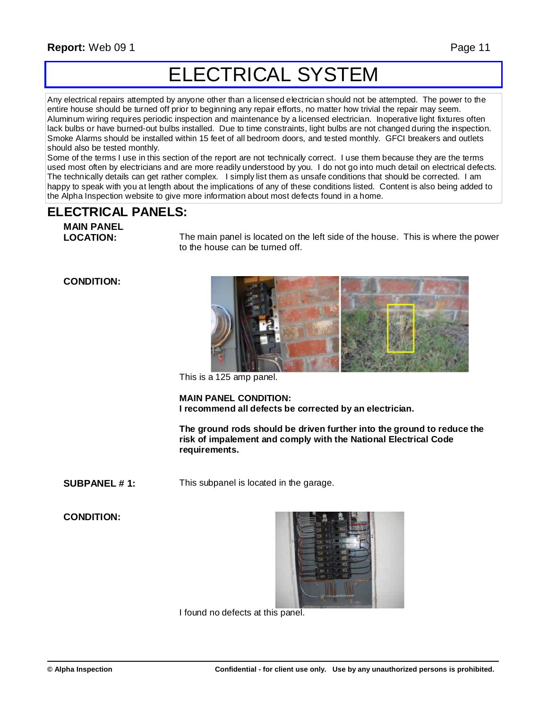## ELECTRICAL SYSTEM

Any electrical repairs attempted by anyone other than a licensed electrician should not be attempted. The power to the entire house should be turned off prior to beginning any repair efforts, no matter how trivial the repair may seem. Aluminum wiring requires periodic inspection and maintenance by a licensed electrician. Inoperative light fixtures often lack bulbs or have burned-out bulbs installed. Due to time constraints, light bulbs are not changed during the inspection. Smoke Alarms should be installed within 15 feet of all bedroom doors, and tested monthly. GFCI breakers and outlets should also be tested monthly.

Some of the terms I use in this section of the report are not technically correct. I use them because they are the terms used most often by electricians and are more readily understood by you. I do not go into much detail on electrical defects. The technically details can get rather complex. I simply list them as unsafe conditions that should be corrected. I am happy to speak with you at length about the implications of any of these conditions listed. Content is also being added to the Alpha Inspection website to give more information about most defects found in a home.

### **ELECTRICAL PANELS:**

**MAIN PANEL**

The main panel is located on the left side of the house. This is where the power to the house can be turned off.

### **CONDITION:**



This is a 125 amp panel.

**MAIN PANEL CONDITION: I recommend all defects be corrected by an electrician.**

**The ground rods should be driven further into the ground to reduce the risk of impalement and comply with the National Electrical Code requirements.**

**SUBPANEL #1:** This subpanel is located in the garage.

### **CONDITION:**



I found no defects at this panel.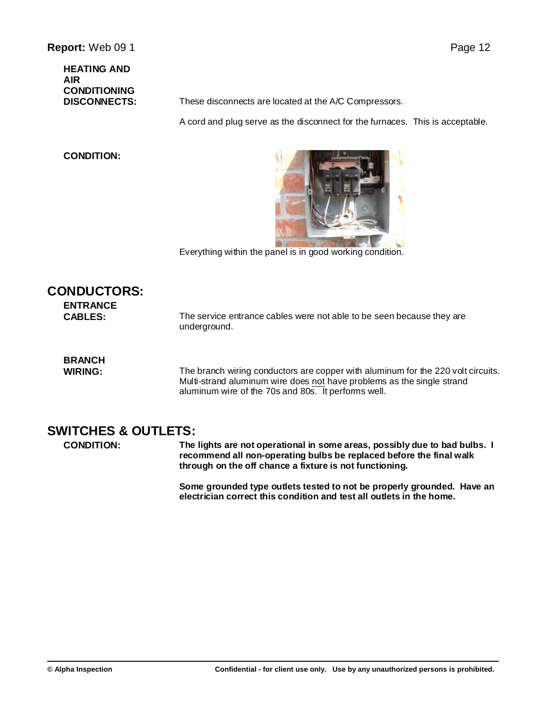**HEATING AND AIR CONDITIONING**

**DISCONNECTS:** These disconnects are located at the A/C Compressors.

A cord and plug serve as the disconnect for the furnaces. This is acceptable.

### **CONDITION:**



Everything within the panel is in good working condition.

| <b>CONDUCTORS:</b><br><b>ENTRANCE</b><br><b>CABLES:</b> | The service entrance cables were not able to be seen because they are<br>underground.                                                                                                                             |
|---------------------------------------------------------|-------------------------------------------------------------------------------------------------------------------------------------------------------------------------------------------------------------------|
| <b>BRANCH</b><br><b>WIRING:</b>                         | The branch wiring conductors are copper with aluminum for the 220 volt circuits.<br>Multi-strand aluminum wire does not have problems as the single strand<br>aluminum wire of the 70s and 80s. It performs well. |

### **SWITCHES & OUTLETS:**

**CONDITION: The lights are not operational in some areas, possibly due to bad bulbs. I recommend all non-operating bulbs be replaced before the final walk through on the off chance a fixture is not functioning.**

> **Some grounded type outlets tested to not be properly grounded. Have an electrician correct this condition and test all outlets in the home.**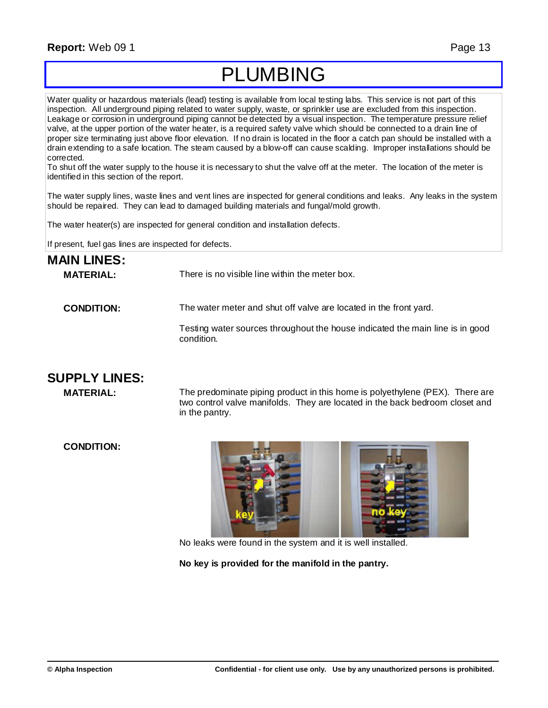### **Report:** Web 09 1 Page 13

## PLUMBING

Water quality or hazardous materials (lead) testing is available from local testing labs. This service is not part of this inspection. All underground piping related to water supply, waste, or sprinkler use are excluded from this inspection. Leakage or corrosion in underground piping cannot be detected by a visual inspection. The temperature pressure relief valve, at the upper portion of the water heater, is a required safety valve which should be connected to a drain line of proper size terminating just above floor elevation. If no drain is located in the floor a catch pan should be installed with a drain extending to a safe location. The steam caused by a blow-off can cause scalding. Improper installations should be corrected.

To shut off the water supply to the house it is necessary to shut the valve off at the meter. The location of the meter is identified in this section of the report.

The water supply lines, waste lines and vent lines are inspected for general conditions and leaks. Any leaks in the system should be repaired. They can lead to damaged building materials and fungal/mold growth.

The water heater(s) are inspected for general condition and installation defects.

If present, fuel gas lines are inspected for defects.

| <b>MAIN LINES:</b> |                                                                                             |
|--------------------|---------------------------------------------------------------------------------------------|
| <b>MATERIAL:</b>   | There is no visible line within the meter box.                                              |
| <b>CONDITION:</b>  | The water meter and shut off valve are located in the front yard.                           |
|                    | Testing water sources throughout the house indicated the main line is in good<br>condition. |
|                    |                                                                                             |

### **SUPPLY LINES:**

**MATERIAL:** The predominate piping product in this home is polyethylene (PEX). There are two control valve manifolds. They are located in the back bedroom closet and in the pantry.

**CONDITION:**



No leaks were found in the system and it is well installed.

**No key is provided for the manifold in the pantry.**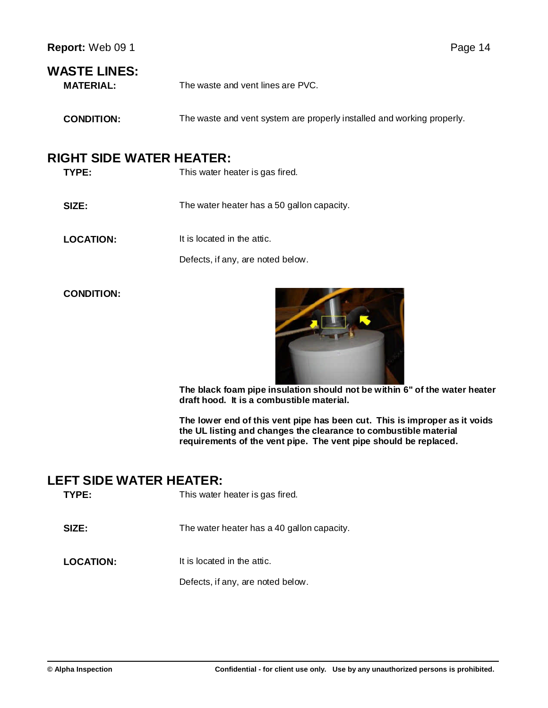### **WASTE LINES:**

**MATERIAL:** The waste and vent lines are PVC.

**CONDITION:** The waste and vent system are properly installed and working properly.

### **RIGHT SIDE WATER HEATER:**

| TYPE:            | This water heater is gas fired.            |
|------------------|--------------------------------------------|
| <b>SIZE:</b>     | The water heater has a 50 gallon capacity. |
| <b>LOCATION:</b> | It is located in the attic.                |
|                  | Defects, if any, are noted below.          |

**CONDITION:**



**The black foam pipe insulation should not be within 6" of the water heater draft hood. It is a combustible material.**

**The lower end of this vent pipe has been cut. This is improper as it voids the UL listing and changes the clearance to combustible material requirements of the vent pipe. The vent pipe should be replaced.**

### **LEFT SIDE WATER HEATER:**

| TYPE:            | This water heater is gas fired.            |
|------------------|--------------------------------------------|
| SIZE:            | The water heater has a 40 gallon capacity. |
| <b>LOCATION:</b> | It is located in the attic.                |
|                  | Defects, if any, are noted below.          |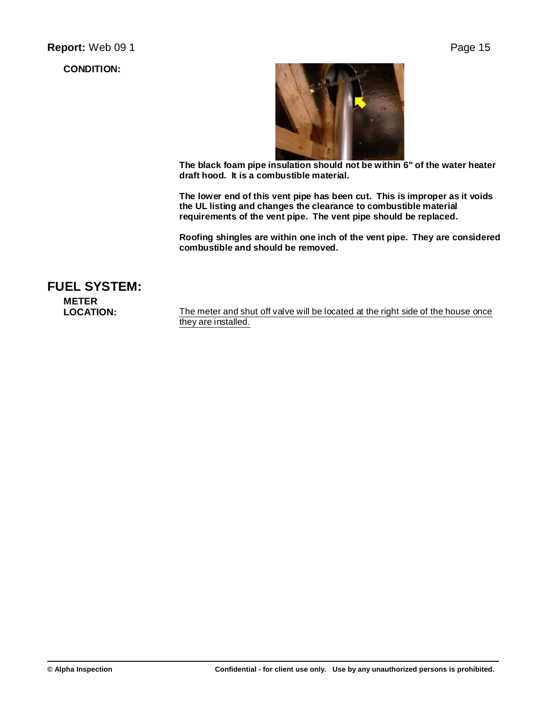**CONDITION:**



**The black foam pipe insulation should not be within 6" of the water heater draft hood. It is a combustible material.**

**The lower end of this vent pipe has been cut. This is improper as it voids the UL listing and changes the clearance to combustible material requirements of the vent pipe. The vent pipe should be replaced.**

**Roofing shingles are within one inch of the vent pipe. They are considered combustible and should be removed.**

**FUEL SYSTEM: METER**

**LOCATION:** The meter and shut off valve will be located at the right side of the house once they are installed.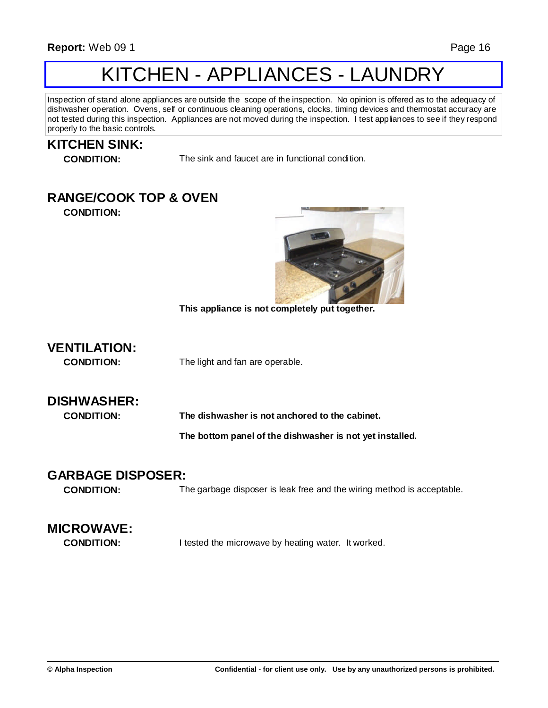## KITCHEN - APPLIANCES - LAUNDRY

Inspection of stand alone appliances are outside the scope of the inspection. No opinion is offered as to the adequacy of dishwasher operation. Ovens, self or continuous cleaning operations, clocks, timing devices and thermostat accuracy are not tested during this inspection. Appliances are not moved during the inspection. I test appliances to see if they respond properly to the basic controls.

### **KITCHEN SINK:**

**CONDITION:** The sink and faucet are in functional condition.

### **RANGE/COOK TOP & OVEN**

**CONDITION:**



**This appliance is not completely put together.**

**VENTILATION:**

**CONDITION:** The light and fan are operable.

### **DISHWASHER:**

**CONDITION: The dishwasher is not anchored to the cabinet.**

**The bottom panel of the dishwasher is not yet installed.**

### **GARBAGE DISPOSER:**

**CONDITION:** The garbage disposer is leak free and the wiring method is acceptable.

### **MICROWAVE:**

**CONDITION:** I tested the microwave by heating water. It worked.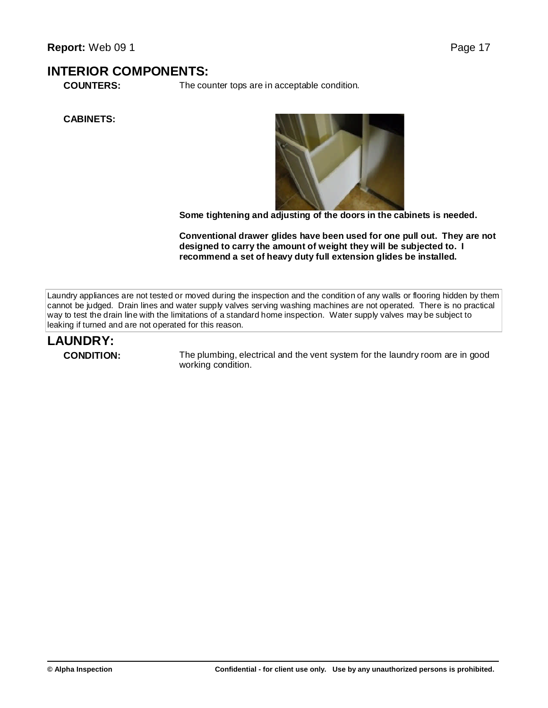### **INTERIOR COMPONENTS:**

**COUNTERS:** The counter tops are in acceptable condition.

**CABINETS:**



**Some tightening and adjusting of the doors in the cabinets is needed.**

**Conventional drawer glides have been used for one pull out. They are not designed to carry the amount of weight they will be subjected to. I recommend a set of heavy duty full extension glides be installed.**

Laundry appliances are not tested or moved during the inspection and the condition of any walls or flooring hidden by them cannot be judged. Drain lines and water supply valves serving washing machines are not operated. There is no practical way to test the drain line with the limitations of a standard home inspection. Water supply valves may be subject to leaking if turned and are not operated for this reason.

## **LAUNDRY:**

**CONDITION:** The plumbing, electrical and the vent system for the laundry room are in good working condition.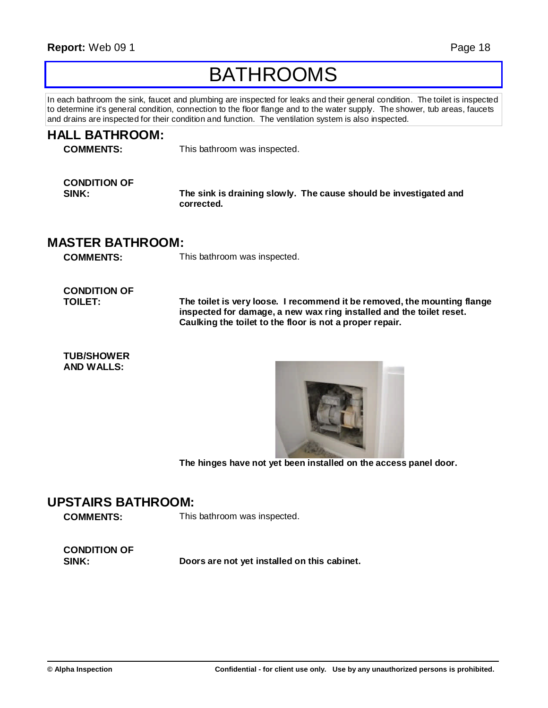## BATHROOMS

In each bathroom the sink, faucet and plumbing are inspected for leaks and their general condition. The toilet is inspected to determine it's general condition, connection to the floor flange and to the water supply. The shower, tub areas, faucets and drains are inspected for their condition and function. The ventilation system is also inspected.

| <b>HALL BATHROOM:</b><br><b>COMMENTS:</b>   | This bathroom was inspected.                                                                                                                                                                                 |
|---------------------------------------------|--------------------------------------------------------------------------------------------------------------------------------------------------------------------------------------------------------------|
| <b>CONDITION OF</b><br>SINK:                | The sink is draining slowly. The cause should be investigated and<br>corrected.                                                                                                                              |
| <b>MASTER BATHROOM:</b><br><b>COMMENTS:</b> | This bathroom was inspected.                                                                                                                                                                                 |
| <b>CONDITION OF</b><br><b>TOILET:</b>       | The toilet is very loose. I recommend it be removed, the mounting flange<br>inspected for damage, a new wax ring installed and the toilet reset.<br>Caulking the toilet to the floor is not a proper repair. |
| <b>TUB/SHOWER</b><br><b>AND WALLS:</b>      |                                                                                                                                                                                                              |



**The hinges have not yet been installed on the access panel door.**

### **UPSTAIRS BATHROOM:**

**COMMENTS:** This bathroom was inspected.

**CONDITION OF**

**SINK: Doors are not yet installed on this cabinet.**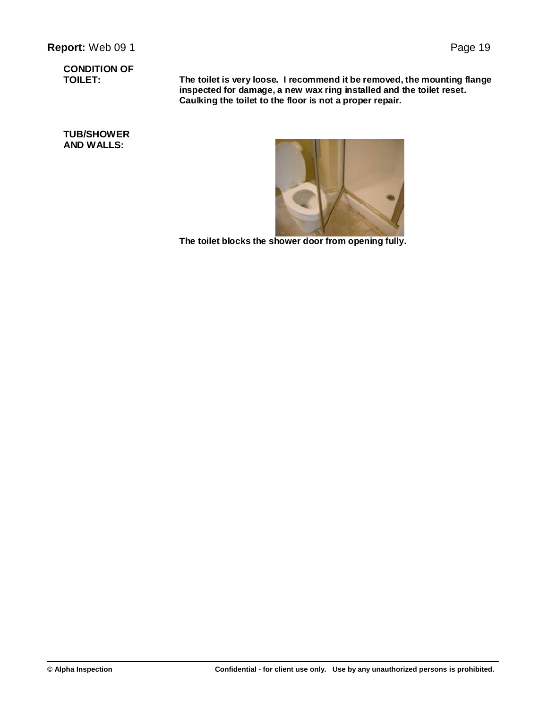## **CONDITION OF**

**TOILET: The toilet is very loose. I recommend it be removed, the mounting flange inspected for damage, a new wax ring installed and the toilet reset. Caulking the toilet to the floor is not a proper repair.**

**TUB/SHOWER AND WALLS:**



**The toilet blocks the shower door from opening fully.**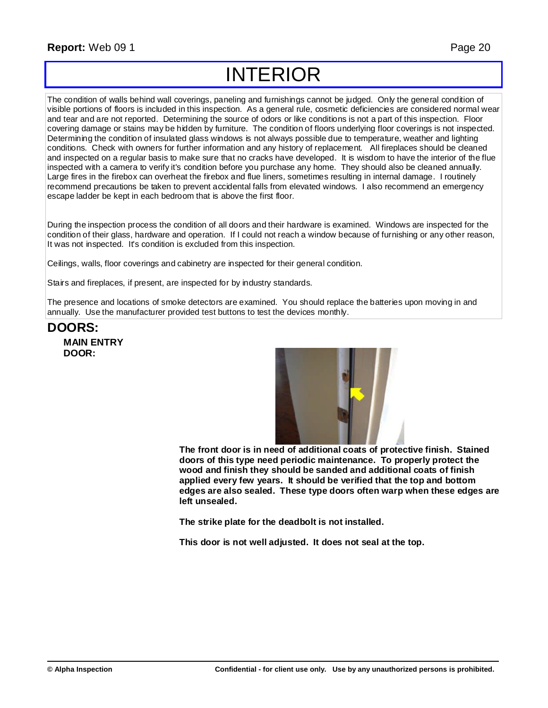## INTERIOR

The condition of walls behind wall coverings, paneling and furnishings cannot be judged. Only the general condition of visible portions of floors is included in this inspection. As a general rule, cosmetic deficiencies are considered normal wear and tear and are not reported. Determining the source of odors or like conditions is not a part of this inspection. Floor covering damage or stains may be hidden by furniture. The condition of floors underlying floor coverings is not inspected. Determining the condition of insulated glass windows is not always possible due to temperature, weather and lighting conditions. Check with owners for further information and any history of replacement. All fireplaces should be cleaned and inspected on a regular basis to make sure that no cracks have developed. It is wisdom to have the interior of the flue inspected with a camera to verify it's condition before you purchase any home. They should also be cleaned annually. Large fires in the firebox can overheat the firebox and flue liners, sometimes resulting in internal damage. I routinely recommend precautions be taken to prevent accidental falls from elevated windows. I also recommend an emergency escape ladder be kept in each bedroom that is above the first floor.

During the inspection process the condition of all doors and their hardware is examined. Windows are inspected for the condition of their glass, hardware and operation. If I could not reach a window because of furnishing or any other reason, It was not inspected. It's condition is excluded from this inspection.

Ceilings, walls, floor coverings and cabinetry are inspected for their general condition.

Stairs and fireplaces, if present, are inspected for by industry standards.

The presence and locations of smoke detectors are examined. You should replace the batteries upon moving in and annually. Use the manufacturer provided test buttons to test the devices monthly.

### **DOORS: MAIN ENTRY DOOR:**



**The front door is in need of additional coats of protective finish. Stained doors of this type need periodic maintenance. To properly protect the wood and finish they should be sanded and additional coats of finish applied every few years. It should be verified that the top and bottom edges are also sealed. These type doors often warp when these edges are left unsealed.**

**The strike plate for the deadbolt is not installed.**

**This door is not well adjusted. It does not seal at the top.**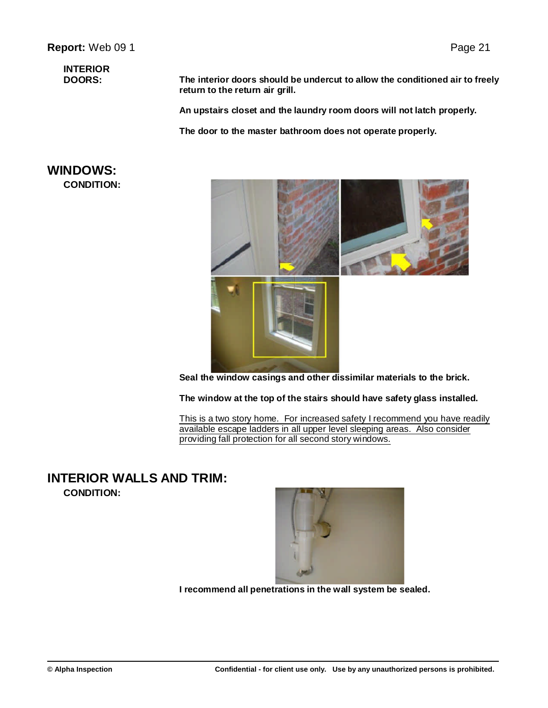## **INTERIOR**

**DOORS: The interior doors should be undercut to allow the conditioned air to freely return to the return air grill.**

**An upstairs closet and the laundry room doors will not latch properly.**

**The door to the master bathroom does not operate properly.**

### **WINDOWS: CONDITION:**



**Seal the window casings and other dissimilar materials to the brick.**

**The window at the top of the stairs should have safety glass installed.**

This is a two story home. For increased safety I recommend you have readily available escape ladders in all upper level sleeping areas. Also consider providing fall protection for all second story windows.

### **INTERIOR WALLS AND TRIM: CONDITION:**



**I recommend all penetrations in the wall system be sealed.**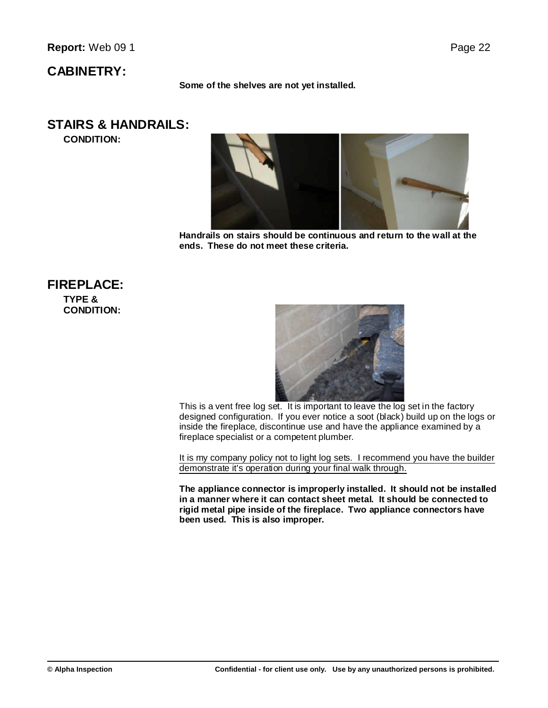### **CABINETRY:**

**Some of the shelves are not yet installed.**

### **STAIRS & HANDRAILS:**

**CONDITION:**



**Handrails on stairs should be continuous and return to the wall at the ends. These do not meet these criteria.**

### **FIREPLACE: TYPE & CONDITION:**



This is a vent free log set. It is important to leave the log set in the factory designed configuration. If you ever notice a soot (black) build up on the logs or inside the fireplace, discontinue use and have the appliance examined by a fireplace specialist or a competent plumber.

It is my company policy not to light log sets. I recommend you have the builder demonstrate it's operation during your final walk through.

**The appliance connector is improperly installed. It should not be installed in a manner where it can contact sheet metal. It should be connected to rigid metal pipe inside of the fireplace. Two appliance connectors have been used. This is also improper.**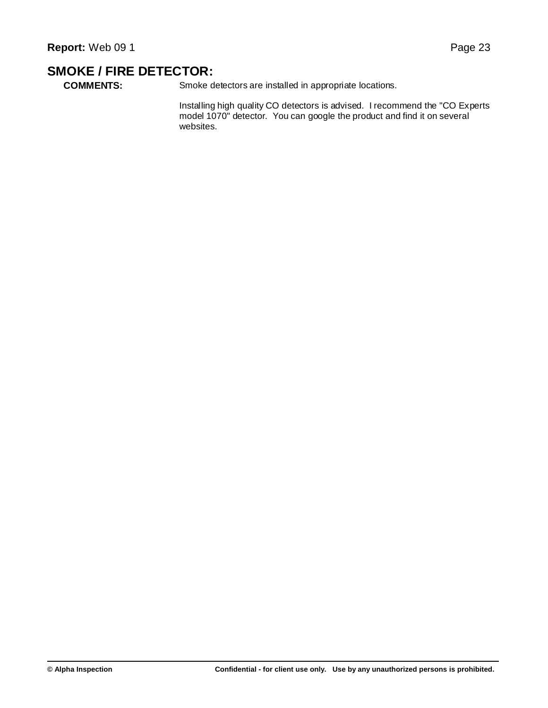### **SMOKE / FIRE DETECTOR:**

**COMMENTS:** Smoke detectors are installed in appropriate locations.

Installing high quality CO detectors is advised. I recommend the "CO Experts model 1070" detector. You can google the product and find it on several websites.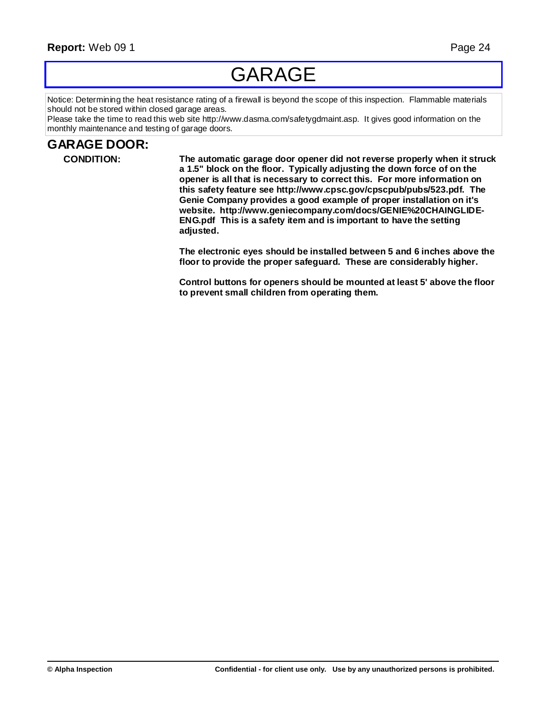## GARAGE

Notice: Determining the heat resistance rating of a firewall is beyond the scope of this inspection. Flammable materials should not be stored within closed garage areas.

Please take the time to read this web site http://www.dasma.com/safetygdmaint.asp. It gives good information on the monthly maintenance and testing of garage doors.

### **GARAGE DOOR:**

**CONDITION: The automatic garage door opener did not reverse properly when it struck a 1.5" block on the floor. Typically adjusting the down force of on the opener is all that is necessary to correct this. For more information on this safety feature see http://www.cpsc.gov/cpscpub/pubs/523.pdf. The Genie Company provides a good example of proper installation on it's website. http://www.geniecompany.com/docs/GENIE%20CHAINGLIDE-ENG.pdf This is a safety item and is important to have the setting adjusted.**

> **The electronic eyes should be installed between 5 and 6 inches above the floor to provide the proper safeguard. These are considerably higher.**

> **Control buttons for openers should be mounted at least 5' above the floor to prevent small children from operating them.**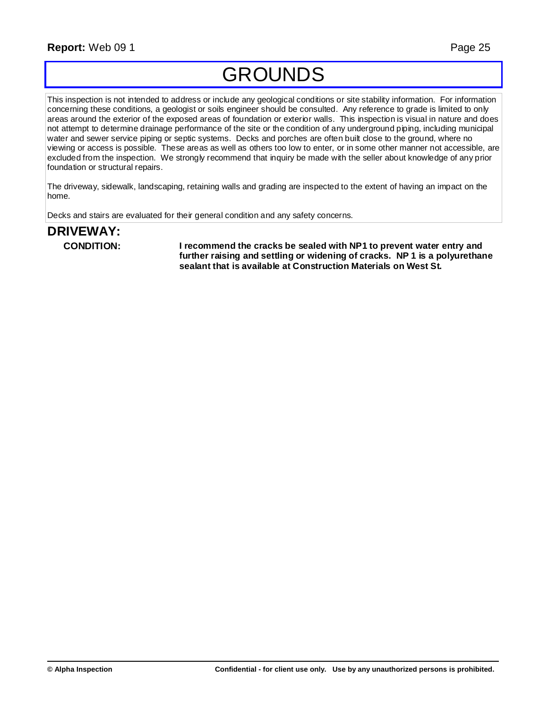## GROUNDS

This inspection is not intended to address or include any geological conditions or site stability information. For information concerning these conditions, a geologist or soils engineer should be consulted. Any reference to grade is limited to only areas around the exterior of the exposed areas of foundation or exterior walls. This inspection is visual in nature and does not attempt to determine drainage performance of the site or the condition of any underground piping, including municipal water and sewer service piping or septic systems. Decks and porches are often built close to the ground, where no viewing or access is possible. These areas as well as others too low to enter, or in some other manner not accessible, are excluded from the inspection. We strongly recommend that inquiry be made with the seller about knowledge of any prior foundation or structural repairs.

The driveway, sidewalk, landscaping, retaining walls and grading are inspected to the extent of having an impact on the home.

Decks and stairs are evaluated for their general condition and any safety concerns.

# **DRIVEWAY:**

**CONDITION: I recommend the cracks be sealed with NP1 to prevent water entry and further raising and settling or widening of cracks. NP 1 is a polyurethane sealant that is available at Construction Materials on West St.**